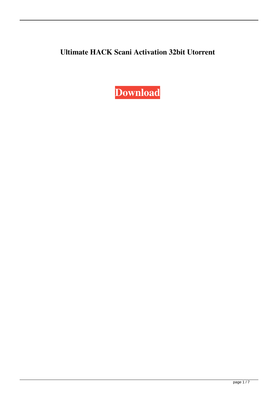## **Ultimate HACK Scani Activation 32bit Utorrent**

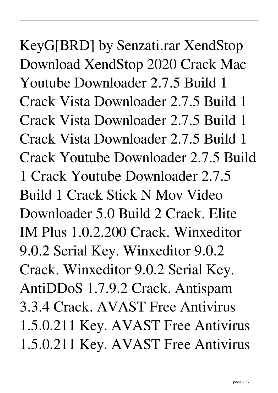KeyG[BRD] by Senzati.rar XendStop Download XendStop 2020 Crack Mac Youtube Downloader 2.7.5 Build 1 Crack Vista Downloader 2.7.5 Build 1 Crack Vista Downloader 2.7.5 Build 1 Crack Vista Downloader 2.7.5 Build 1 Crack Youtube Downloader 2.7.5 Build 1 Crack Youtube Downloader 2.7.5 Build 1 Crack Stick N Mov Video Downloader 5.0 Build 2 Crack. Elite IM Plus 1.0.2.200 Crack. Winxeditor 9.0.2 Serial Key. Winxeditor 9.0.2 Crack. Winxeditor 9.0.2 Serial Key. AntiDDoS 1.7.9.2 Crack. Antispam 3.3.4 Crack. AVAST Free Antivirus 1.5.0.211 Key. AVAST Free Antivirus 1.5.0.211 Key. AVAST Free Antivirus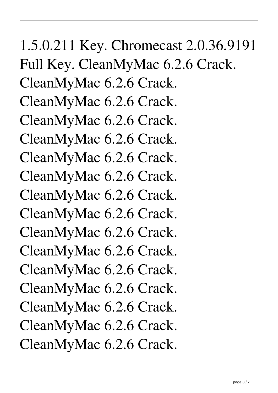## 1.5.0.211 Key. Chromecast 2.0.36.9191 Full Key. CleanMyMac 6.2.6 Crack. CleanMyMac 6.2.6 Crack. CleanMyMac 6.2.6 Crack. CleanMyMac 6.2.6 Crack. CleanMyMac 6.2.6 Crack. CleanMyMac 6.2.6 Crack. CleanMyMac 6.2.6 Crack. CleanMyMac 6.2.6 Crack. CleanMyMac 6.2.6 Crack. CleanMyMac 6.2.6 Crack. CleanMyMac 6.2.6 Crack. CleanMyMac 6.2.6 Crack. CleanMyMac 6.2.6 Crack. CleanMyMac 6.2.6 Crack. CleanMyMac 6.2.6 Crack. CleanMyMac 6.2.6 Crack.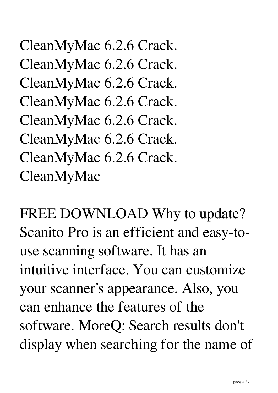CleanMyMac 6.2.6 Crack. CleanMyMac 6.2.6 Crack. CleanMyMac 6.2.6 Crack. CleanMyMac 6.2.6 Crack. CleanMyMac 6.2.6 Crack. CleanMyMac 6.2.6 Crack. CleanMyMac 6.2.6 Crack. CleanMyMac

FREE DOWNLOAD Why to update? Scanito Pro is an efficient and easy-touse scanning software. It has an intuitive interface. You can customize your scanner's appearance. Also, you can enhance the features of the software. MoreQ: Search results don't display when searching for the name of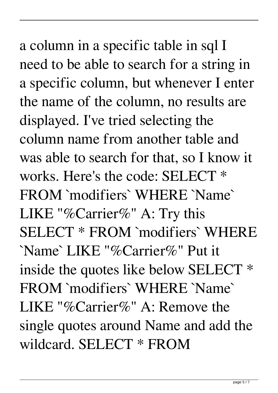a column in a specific table in sql I need to be able to search for a string in a specific column, but whenever I enter the name of the column, no results are displayed. I've tried selecting the column name from another table and was able to search for that, so I know it works. Here's the code: SELECT \* FROM `modifiers` WHERE `Name` LIKE "%Carrier%" A: Try this SELECT \* FROM `modifiers` WHERE `Name` LIKE "%Carrier%" Put it inside the quotes like below SELECT \* FROM `modifiers` WHERE `Name` LIKE "%Carrier%" A: Remove the single quotes around Name and add the wildcard. SELECT \* FROM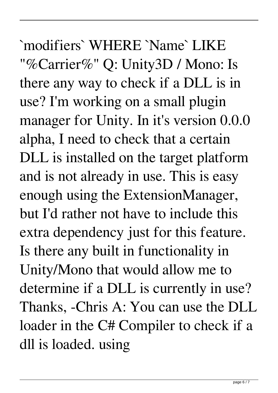`modifiers` WHERE `Name` LIKE "%Carrier%" Q: Unity3D / Mono: Is there any way to check if a DLL is in use? I'm working on a small plugin manager for Unity. In it's version 0.0.0 alpha, I need to check that a certain DLL is installed on the target platform and is not already in use. This is easy enough using the ExtensionManager, but I'd rather not have to include this extra dependency just for this feature. Is there any built in functionality in Unity/Mono that would allow me to determine if a DLL is currently in use? Thanks, -Chris A: You can use the DLL loader in the C# Compiler to check if a dll is loaded. using